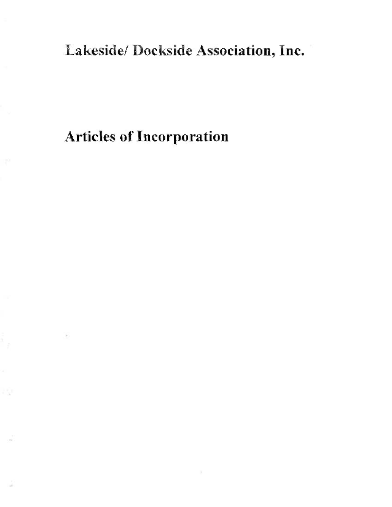# **Lakeside/ Dockside Association, Inc.**

**Articles of Incorporation**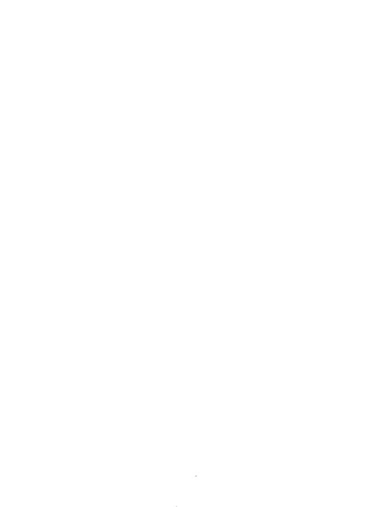$\mathcal{M}^{\prime}$  .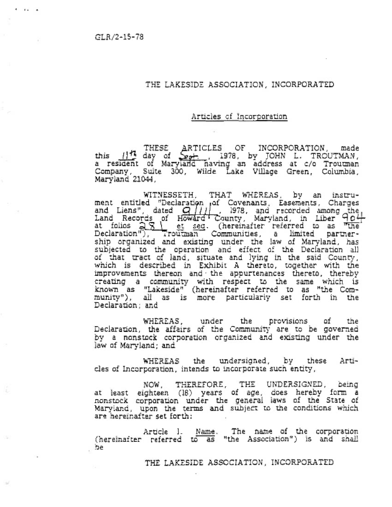$4.11 - 4.$ 

# THE LAKESIDE ASSOCIATION, INCORPORATED

### Articles of Incorporation

THESE ARTICLES OF INCORPORATION, made<br>this  $\prod_{i=1}^{n}$  day of  $\sum_{i=1}^{n}$ , 1978, by JOHN L. TROUTMAN,<br>a resident of Maryland naving an address at c/o Troutman Company, Suite 300, Wilde Lake Village Green, Columbia,

WITNESSETH, THAT WHEREAS, by an instru-<br>ment entitled "Declaration of Covenants, Easements, Charges<br>and Liens", dated  $G[11]$ , 1978, and recorded among the<br>Land Records of Howard County, Maryland, in Liber  $G[1]$ <br>at folio subjected to the operation and effect of the Declaration all<br>of that tract of land, situate and lying in the said County, which is described in Exhibit A thereto, together with the improvements thereon and the appurtenances thereto, thereby creating a community with respect to the same which is known as "Lakeside" (hereinafter referred to as "the Com-<br>munity"), all as is more particularly set forth in the Declaration; and

WHEREAS, under the provisions of the. Declaration, the affairs of the Community are to be governed by a nonstock corporation organized and existing under the law of Maryland; and

WHEREAS the undersigned, by these Articles of Incorporation, intends to incorporate such entity,

NOW, THEREFORE, THE UNDERSIGNED, being<br>at least eighteen (18) years of age, does hereby form a<br>nonstock corporation under the general laws of the State of Maryland, upon the terms and subject to the conditions which are hereinafter set forth:

Article J. <u>Name</u>. The name of the corporation (hereinafter referred to as "the Association") is and shall be.

THE LAKESIDE ASSOCIATION, INCORPORATED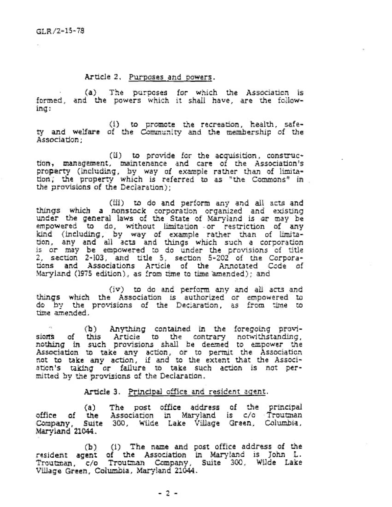### Article 2. Purposes and powers.

(a) The purposes for which the Association is formed, and the powers which it shall have, are the following:

(1) to promote the recreation, health, safe-<br>ty and welfare of the Community and the membership of the Association:

(ii) to provide for the acquisition, construc-<br>tion, management, maintenance and care of the Association's property (including, by way of example rather than of limita-<br>tion; the property which is referred to as "the Commons" in the provisions of the Declaration);

(iii) to do and perform any and all acts and things which a nonstock corporation organized and existing under the general laws of the State of Maryland is ar may be empowered to do, without limitation or restriction of any kind (including, by way of example rather than of limitation, any and all acts and things which such a corporation is or may be empowered to do under the provisions of title 2, section 2-103, and title 5, section 5-202 of the Corporations and Associations Article of the Annotated Code of Maryland (1975 edition), as from time to time amended); and

(iv) to do and perform any and all acts and things which the Association is authorized or empowered to do by the provisions of the Declaration, as from time to time amended.

(b) Anything contained in the foregoing provisions of this Article to the contrary notwithstanding,<br>nothing in such provisions shall be deemed to empower the<br>Association to take any action, or to permit the Association<br>not to take any action, if and to the extent tha ation's taking or failure to take such action is not permitted by the provisions of the Declaration.

#### Article 3. Principal office and resident agent.

(a) The post office address of the principal office of the Association in Maryland is c/o Troutman<br>Company, Suite 300, Wilde Lake Village Green, Columbia, Marviand 21044.

(b) (i) The name and post office address of the resident agent of the Association in Maryland is John L. Troutman, c/o Troutman Company, Suite 300, Wilde Lake<br>Village-Green, Columbia, Maryland 21044.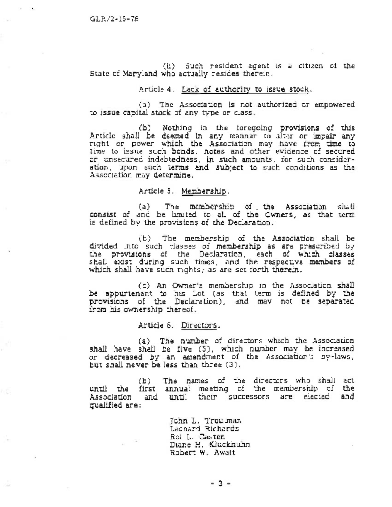(ii) Such resident agent is a citizen of the State of Maryland who actually resides therein.

# **Article 4, Lack of authority to issue stock..**

(a) The Association is not authorized or empowered **to issue capital stock of any type or** *class* 

**(b) Nothing in the foregoing provisions of this**  Article shall be deemed in any manner to alter or impair any **right or power which the Association may have from time to time to issue such bonds, novas and other evidence of secured**  or unsecured indebtedness, in such amounts, for such consideration, upon such terms and subject to such conditions as the **A.ssociation may determine.** 

**Article 5, Membership.** 

(a) The membership of the Association shall consist of and be limited to all of the Owners, as that term **is defined by the provisions of the Declaration.** 

**(la) The membership of the Association shall be divided lo.to such classes of membership as are prescribed by the provisions cif the Declaration, each of which classe <sup>5</sup> shall exist during such times, and the respective members of which shall have such, rights; as are set forth therein.** 

**(c) A.ri Ownerrs mertibership in the Association shall**  be **appurtenant tc his Lot (as that term is defined by the provisions of the Declaration), and may not be separated from h,is ownership Thereof.** 

**Arutle 6. Directors.** 

**(a) The number of directors which the Association shall have shall be five (5), which number may be increased or decreased by an amendment of the Association's by-laws, but shall never** *be Jess* **than three (3),** 

(b) The names of the directors who shall act **until the first annual meeting of the merniaersh:p of the**  and until their successors **qualified are:** 

> Tonn **L. Troutman Leonard Richards Roi L. Casten**  Diane **H**. Kluckhuhn **Robert W. Await**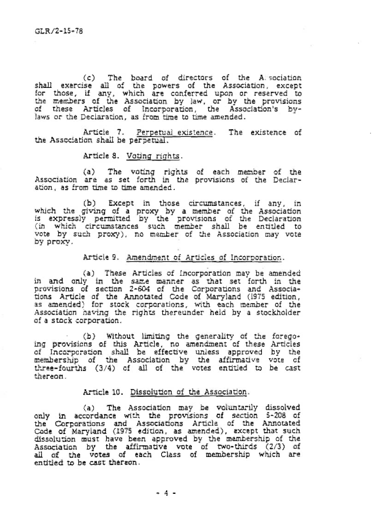(c) The board of directors of the Association<br>shall exercise all of the powers of the Association, except for those, if any, which are conferred upon or reserved to the members of the Association by law, or by the provisions of these Articles of Incorporation, the Association's bylaws or the Declaration, as from time to time amended.

Article 7. Perpetual existence. The existence of the Association shall be perpetual.

Article 8. Voting rights.

(a) The voting rights of each member of the<br>Association are as set forth in the provisions of the Declaration, as from time to time amended.

(b) Except in those circumstances, if any, in which the giving of a proxy by a member of the Association is expressly permitted by the provisions of the Declaration (in which circumstances such member shall be entitled to vote by such proxy), no member of the Association may vote ру ргоху.

# Article 9. Amendment of Articles of Incorporation.

(a) These Articles of Incorporation may be amended in and only in the same manner as that set forth in the provisions of section 2-604 of the Corporations and Associations Article of the Annotated Code of Maryland (1975 edition, as amended) for stock corporations, with each member of the Association having the rights thereunder held by a stockholder of a stock corporation.

(b) Without limiting the generality of the foregoing provisions of this Article, no amendment of these Articles<br>of Incorporation shall be effective unless approved by the membership of the Association by the affirmative vote of three-fourths (3/4) of all of the votes entitled to be cast thereon.

# Article 10. Dissolution of the Association.

(a) The Association may be voluntarily dissolved only in accordance with the provisions of section 5-208 of<br>the Corporations and Associations Article of the Annotated<br>Code of Maryland (1975 edition, as amended), except that such dissolution must have been approved by the membership of the<br>Association by the affirmative vote of two-thirds (2/3) of all of the votes of each Class of membership which are entitled to be cast thereon.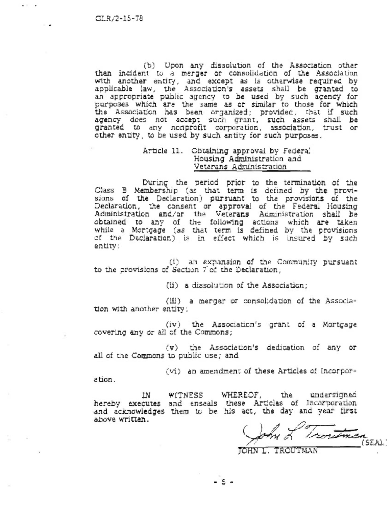e in

**(b) Upon any dissolution of the ASSOcIation other**  than incident to a merger or consolidation of the Association **with another enriry, and except as Is otherwise required by applicable law, the AssOciation** *'s* **assets shall be granted to an appropriate public agency to be used by such agency for purposes which are the** *same* **as or similar to those for which the Associeton has been organized: provided. that if such agency does not accept such grant, such** *assets* **shall be granted to any nonprofit corporation, association, trust or other entity, to be used by such entity for such purposes,** 

## **Article 11. Obtaining approval by Federal Housing Administration. and Veterans Ad.minis.a.ation**

**During the period prior to the termination of the**  *Class* **19 Mambership (as that term** *is* **defined by the prcvi**sions of the Declaration) pursuant to the provisions of the **Declaration, the consent or approval of the Federal Haus.ing Administration and/or the Veterans Administration shall be obtained** to any of the following actions which are taken while a Mortgage (as that term is defined by the provisions of the Declaration) is in effect which is insured by such **entity:** 

(i) an expansion of the Community pursuant **to the provisions of Section 7 of the Declaration;** 

(ii) a dissolution of the Association;

(iii) a merger or consolidation of the Associa**tion with another entity;** 

**(iv) the Associadon'S grant of a Mortgage**  covering any or all of the Commons;

**(v) the Association's dedication cf any or**  eli **of the Commons to public use; and** 

**evi). an amendment of these Articles of Incorpor-**

ation.

WITNESS WHEREOF, the undersigned **hereby executes aid enseals these Articles of Incorporator. and acknowledges them to be his act, the day and year first above written.** 

 $-5$ .

JOHN L. TROUTMAN **(SEAL:**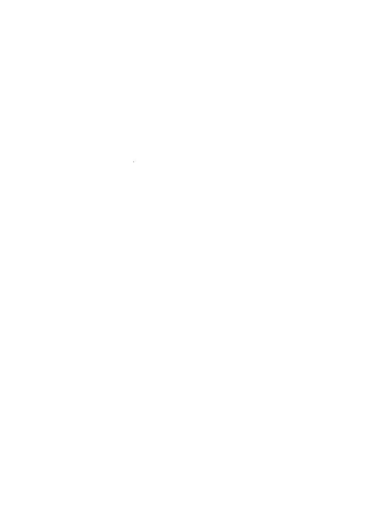$\mathcal{W}^{\mathcal{U}}$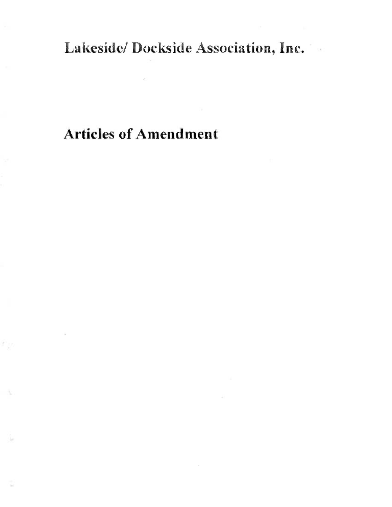**Lakeside/ Dockside Association, Inc.** 

# **Articles of Amendment**

 $\mathcal{E}_{\mathcal{A}}$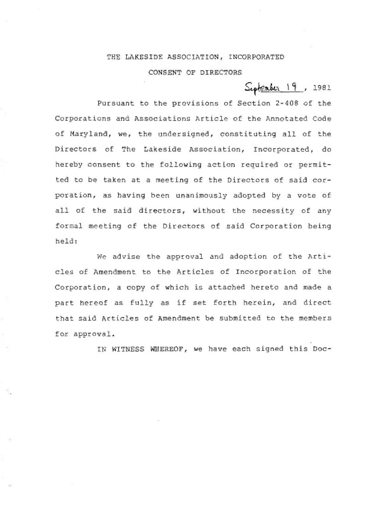## THE LAKESIDE ASSOCIATION, INCORPORATED

#### **CONSENT OF DIRECTORS**

# fttialmA<sup>15</sup>, **<sup>1961</sup>**

**Pursuant to the provisions of Section 2-400 of the**  Corporations and Associations Article of the Annotated Code of Maryland, we, the undersigned, constituting all of the **Directors of The Lakeside Association, rnecrporated, do hereby consent to the following action reauirea or permitted to be taken at a meeting of the Directors of said corporation, as having been unanimously adopted by a vote of all of the said directors, without the necessity of any formai meeting of the Directors of said Corporation being held:** 

We advise the approval and adoption of the Arti**cles of Amendment to the Articles of Incorporation of the Corporation, a copy of which is attached hereto and made a part hereof as fully as if set forth herein, and direct that said Articles of Amendment be submitted to the members for approval.** 

**IN WITNESS WHEREOF, we have each signed this Doc-**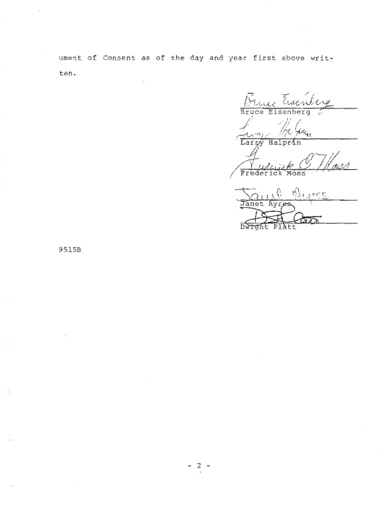ument of Consent as of the day and year first above written.

<u>France</u> Executive

The Jun  $-$ traj

Larry Halprin

p20 Frederick MOSS

Janet Ayres  $\alpha\alpha$ Dwight Platt

9515B

 $2 -$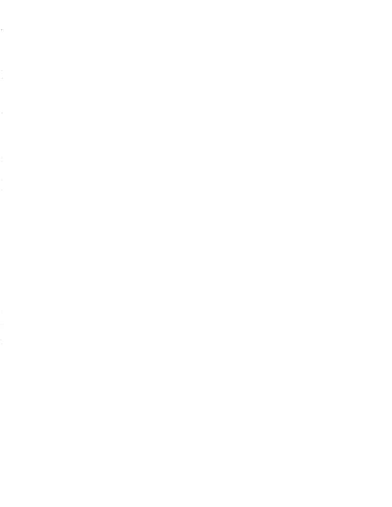Ŧ.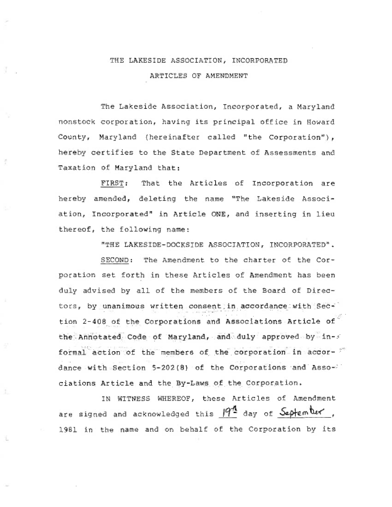#### **THE LAKESIDE ASSOCIATION, INCORPORATED**

**ARTICLES OF AMENDMENT** 

The Lakeside Association, Incorporated, a Maryland **nOnstOCk corporation, having its prinCipal Office in Howard**  County, Maryland (hereinafter called "the Corporation"), **hereby certifies to the State Department Ot Aseessments and Taxation Of Maryland that;** 

FIRST: That the Articles of Incorporation are **hereby amended 'deleting the name "The Lakeside Association, Incorporated" in Article ONE, and inserting in lieu thereof, the follOwing name:** 

**"THE LAKESIDE-DOCKSIDE ASSOCIATION, INCORPORATED".** 

**SECOND:The Amendment to the charter ot the Corporation set forth in these Articles of Amendment has been**  duly advised by all of the members of the Board of Direc**tors, by unanimous written. consant.in.accordance.:with**  tion 2-408 of the Corporations and Associations Article of the Annotated Code of Maryland, and duly approved by in- $\epsilon$ formal action of the members of the corporation in accor**dance with Section 5-202(8) of the Corporations . and'Aeso--, ' ciations Article and the By-Laws of the Corporation.** 

**IN WITNESS WHEREOF, these Articles of Amendment**  are signed and acknowledged this  $19^{\frac{1}{2}}$  day of September, **19E11 in the name and on behalf of the Corporation by its**